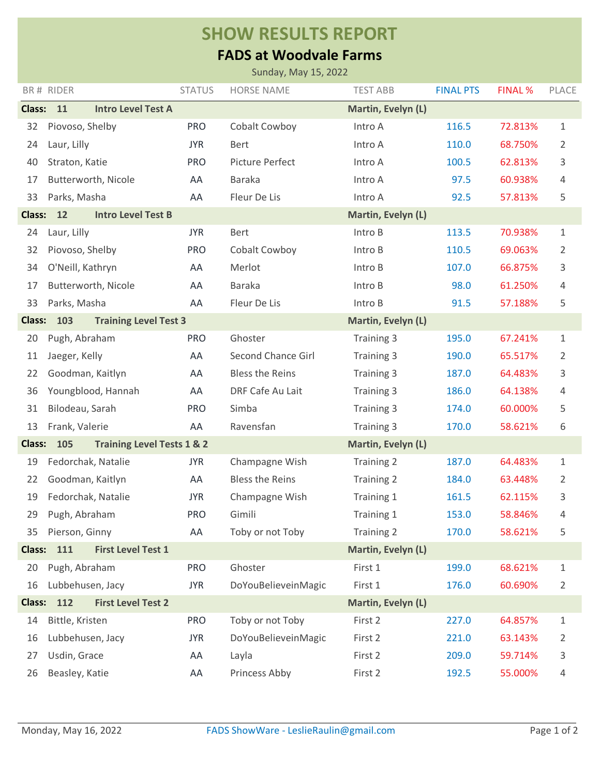## **SHOW RESULTS REPORT**

## **FADS at Woodvale Farms**

| Sunday, May 15, 2022                                                    |                                              |               |                        |                    |                  |                |                |  |  |  |  |  |
|-------------------------------------------------------------------------|----------------------------------------------|---------------|------------------------|--------------------|------------------|----------------|----------------|--|--|--|--|--|
|                                                                         | BR# RIDER                                    | <b>STATUS</b> | <b>HORSE NAME</b>      | <b>TEST ABB</b>    | <b>FINAL PTS</b> | <b>FINAL %</b> | PLACE          |  |  |  |  |  |
| <b>Class:</b><br>11<br><b>Intro Level Test A</b><br>Martin, Evelyn (L)  |                                              |               |                        |                    |                  |                |                |  |  |  |  |  |
| 32                                                                      | Piovoso, Shelby                              | <b>PRO</b>    | Cobalt Cowboy          | Intro A            | 116.5            | 72.813%        | $\mathbf 1$    |  |  |  |  |  |
| 24                                                                      | Laur, Lilly                                  | <b>JYR</b>    | Bert                   | Intro A            | 110.0            | 68.750%        | $\overline{2}$ |  |  |  |  |  |
| 40                                                                      | Straton, Katie                               | <b>PRO</b>    | Picture Perfect        | Intro A            | 100.5            | 62.813%        | 3              |  |  |  |  |  |
| 17                                                                      | Butterworth, Nicole                          | AA            | <b>Baraka</b>          | Intro A            | 97.5             | 60.938%        | 4              |  |  |  |  |  |
| 33                                                                      | Parks, Masha                                 | AA            | Fleur De Lis           | Intro A            | 92.5             | 57.813%        | 5              |  |  |  |  |  |
| <b>Class:</b>                                                           | 12<br><b>Intro Level Test B</b>              |               |                        | Martin, Evelyn (L) |                  |                |                |  |  |  |  |  |
| 24                                                                      | Laur, Lilly                                  | <b>JYR</b>    | <b>Bert</b>            | Intro B            | 113.5            | 70.938%        | $\mathbf 1$    |  |  |  |  |  |
| 32                                                                      | Piovoso, Shelby                              | <b>PRO</b>    | Cobalt Cowboy          | Intro B            | 110.5            | 69.063%        | $\overline{2}$ |  |  |  |  |  |
| 34                                                                      | O'Neill, Kathryn                             | AA            | Merlot                 | Intro B            | 107.0            | 66.875%        | 3              |  |  |  |  |  |
| 17                                                                      | Butterworth, Nicole                          | AA            | <b>Baraka</b>          | Intro B            | 98.0             | 61.250%        | 4              |  |  |  |  |  |
| 33                                                                      | Parks, Masha                                 | AA            | Fleur De Lis           | Intro B            | 91.5             | 57.188%        | 5              |  |  |  |  |  |
| <b>Class:</b>                                                           | 103<br><b>Training Level Test 3</b>          |               |                        | Martin, Evelyn (L) |                  |                |                |  |  |  |  |  |
| 20                                                                      | Pugh, Abraham                                | <b>PRO</b>    | Ghoster                | Training 3         | 195.0            | 67.241%        | $\mathbf 1$    |  |  |  |  |  |
| 11                                                                      | Jaeger, Kelly                                | AA            | Second Chance Girl     | Training 3         | 190.0            | 65.517%        | 2              |  |  |  |  |  |
| 22                                                                      | Goodman, Kaitlyn                             | AA            | <b>Bless the Reins</b> | Training 3         | 187.0            | 64.483%        | 3              |  |  |  |  |  |
| 36                                                                      | Youngblood, Hannah                           | AA            | DRF Cafe Au Lait       | Training 3         | 186.0            | 64.138%        | 4              |  |  |  |  |  |
| 31                                                                      | Bilodeau, Sarah                              | <b>PRO</b>    | Simba                  | Training 3         | 174.0            | 60.000%        | 5              |  |  |  |  |  |
| 13                                                                      | Frank, Valerie                               | AA            | Ravensfan              | Training 3         | 170.0            | 58.621%        | 6              |  |  |  |  |  |
| <b>Class:</b>                                                           | <b>Training Level Tests 1 &amp; 2</b><br>105 |               |                        | Martin, Evelyn (L) |                  |                |                |  |  |  |  |  |
| 19                                                                      | Fedorchak, Natalie                           | <b>JYR</b>    | Champagne Wish         | Training 2         | 187.0            | 64.483%        | $\mathbf 1$    |  |  |  |  |  |
| 22                                                                      | Goodman, Kaitlyn                             | AA            | <b>Bless the Reins</b> | Training 2         | 184.0            | 63.448%        | $\overline{2}$ |  |  |  |  |  |
| 19                                                                      | Fedorchak, Natalie                           | <b>JYR</b>    | Champagne Wish         | Training 1         | 161.5            | 62.115%        | 3              |  |  |  |  |  |
| 29                                                                      | Pugh, Abraham                                | <b>PRO</b>    | Gimili                 | Training 1         | 153.0            | 58.846%        | 4              |  |  |  |  |  |
| 35                                                                      | Pierson, Ginny                               | AA            | Toby or not Toby       | Training 2         | 170.0            | 58.621%        | 5              |  |  |  |  |  |
| <b>Class:</b><br>111<br><b>First Level Test 1</b><br>Martin, Evelyn (L) |                                              |               |                        |                    |                  |                |                |  |  |  |  |  |
| 20                                                                      | Pugh, Abraham                                | <b>PRO</b>    | Ghoster                | First 1            | 199.0            | 68.621%        | $\mathbf 1$    |  |  |  |  |  |
| 16                                                                      | Lubbehusen, Jacy                             | <b>JYR</b>    | DoYouBelieveinMagic    | First 1            | 176.0            | 60.690%        | 2              |  |  |  |  |  |
| 112<br><b>Class:</b><br><b>First Level Test 2</b><br>Martin, Evelyn (L) |                                              |               |                        |                    |                  |                |                |  |  |  |  |  |
| 14                                                                      | Bittle, Kristen                              | <b>PRO</b>    | Toby or not Toby       | First 2            | 227.0            | 64.857%        | 1              |  |  |  |  |  |
| 16                                                                      | Lubbehusen, Jacy                             | <b>JYR</b>    | DoYouBelieveinMagic    | First 2            | 221.0            | 63.143%        | 2              |  |  |  |  |  |
| 27                                                                      | Usdin, Grace                                 | AA            | Layla                  | First 2            | 209.0            | 59.714%        | 3              |  |  |  |  |  |
| 26                                                                      | Beasley, Katie                               | AA            | Princess Abby          | First 2            | 192.5            | 55.000%        | 4              |  |  |  |  |  |